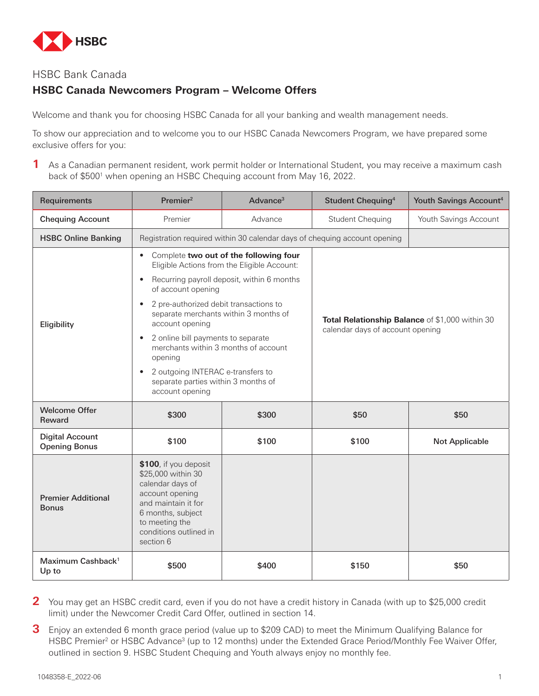

# HSBC Bank Canada

# **HSBC Canada Newcomers Program – Welcome Offers**

Welcome and thank you for choosing HSBC Canada for all your banking and wealth management needs.

To show our appreciation and to welcome you to our HSBC Canada Newcomers Program, we have prepared some exclusive offers for you:

**1** As a Canadian permanent resident, work permit holder or International Student, you may receive a maximum cash back of \$500<sup>1</sup> when opening an HSBC Chequing account from May 16, 2022.

| Requirements                                   | Premier <sup>2</sup>                                                                                                                                                                                                                                                                                                                                                                                                                                                                                        | Advance <sup>3</sup> | Student Chequing <sup>4</sup>                                                       | Youth Savings Account <sup>4</sup> |  |  |
|------------------------------------------------|-------------------------------------------------------------------------------------------------------------------------------------------------------------------------------------------------------------------------------------------------------------------------------------------------------------------------------------------------------------------------------------------------------------------------------------------------------------------------------------------------------------|----------------------|-------------------------------------------------------------------------------------|------------------------------------|--|--|
| <b>Chequing Account</b>                        | Premier                                                                                                                                                                                                                                                                                                                                                                                                                                                                                                     | Advance              | <b>Student Chequing</b>                                                             | Youth Savings Account              |  |  |
| <b>HSBC Online Banking</b>                     | Registration required within 30 calendar days of chequing account opening                                                                                                                                                                                                                                                                                                                                                                                                                                   |                      |                                                                                     |                                    |  |  |
| Eligibility                                    | Complete two out of the following four<br>$\bullet$<br>Eligible Actions from the Eligible Account:<br>Recurring payroll deposit, within 6 months<br>of account opening<br>2 pre-authorized debit transactions to<br>$\bullet$<br>separate merchants within 3 months of<br>account opening<br>2 online bill payments to separate<br>$\bullet$<br>merchants within 3 months of account<br>opening<br>2 outgoing INTERAC e-transfers to<br>$\bullet$<br>separate parties within 3 months of<br>account opening |                      | Total Relationship Balance of \$1,000 within 30<br>calendar days of account opening |                                    |  |  |
| <b>Welcome Offer</b><br>Reward                 | \$300                                                                                                                                                                                                                                                                                                                                                                                                                                                                                                       | \$300                | \$50                                                                                | \$50                               |  |  |
| <b>Digital Account</b><br><b>Opening Bonus</b> | \$100                                                                                                                                                                                                                                                                                                                                                                                                                                                                                                       | \$100                | \$100                                                                               | <b>Not Applicable</b>              |  |  |
| <b>Premier Additional</b><br><b>Bonus</b>      | \$100, if you deposit<br>\$25,000 within 30<br>calendar days of<br>account opening<br>and maintain it for<br>6 months, subject<br>to meeting the<br>conditions outlined in<br>section 6                                                                                                                                                                                                                                                                                                                     |                      |                                                                                     |                                    |  |  |
| Maximum Cashback <sup>1</sup><br>Up to         | \$500                                                                                                                                                                                                                                                                                                                                                                                                                                                                                                       | \$400                | \$150                                                                               | \$50                               |  |  |

**2** You may get an HSBC credit card, even if you do not have a credit history in Canada (with up to \$25,000 credit limit) under the Newcomer Credit Card Offer, outlined in section 14.

**3** Enjoy an extended 6 month grace period (value up to \$209 CAD) to meet the Minimum Qualifying Balance for HSBC Premier<sup>2</sup> or HSBC Advance<sup>3</sup> (up to 12 months) under the Extended Grace Period/Monthly Fee Waiver Offer, outlined in section 9. HSBC Student Chequing and Youth always enjoy no monthly fee.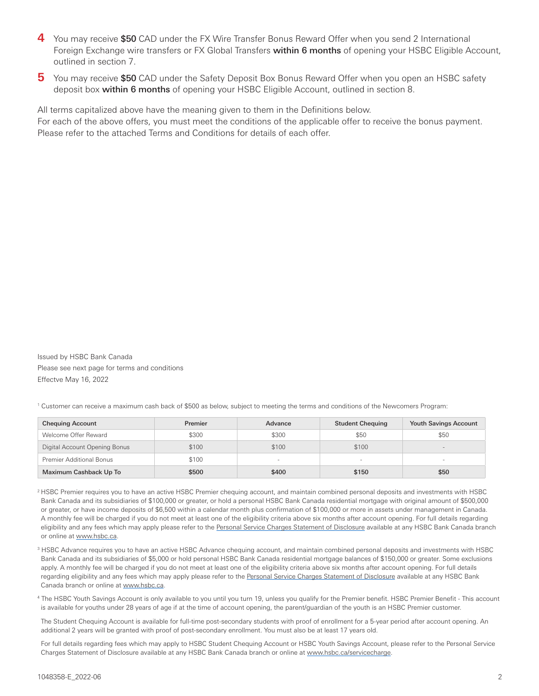- **4** You may receive \$50 CAD under the FX Wire Transfer Bonus Reward Offer when you send 2 International Foreign Exchange wire transfers or FX Global Transfers within 6 months of opening your HSBC Eligible Account, outlined in section 7.
- **5** You may receive \$50 CAD under the Safety Deposit Box Bonus Reward Offer when you open an HSBC safety deposit box within 6 months of opening your HSBC Eligible Account, outlined in section 8.

All terms capitalized above have the meaning given to them in the Definitions below. For each of the above offers, you must meet the conditions of the applicable offer to receive the bonus payment. Please refer to the attached Terms and Conditions for details of each offer.

Issued by HSBC Bank Canada Please see next page for terms and conditions Effectve May 16, 2022

1 Customer can receive a maximum cash back of \$500 as below, subject to meeting the terms and conditions of the Newcomers Program:

| <b>Chequing Account</b>         | Premier | Advance                  | <b>Student Chequing</b> | <b>Youth Savings Account</b> |
|---------------------------------|---------|--------------------------|-------------------------|------------------------------|
| Welcome Offer Reward            | \$300   | \$300                    | \$50                    | \$50                         |
| Digital Account Opening Bonus   | \$100   | \$100                    | \$100                   | $\sim$                       |
| <b>Premier Additional Bonus</b> | \$100   | $\overline{\phantom{a}}$ |                         | $\sim$                       |
| Maximum Cashback Up To          | \$500   | \$400                    | \$150                   | \$50                         |

<sup>2</sup> HSBC Premier requires you to have an active HSBC Premier chequing account, and maintain combined personal deposits and investments with HSBC Bank Canada and its subsidiaries of \$100,000 or greater, or hold a personal HSBC Bank Canada residential mortgage with original amount of \$500,000 or greater, or have income deposits of \$6,500 within a calendar month plus confirmation of \$100,000 or more in assets under management in Canada. A monthly fee will be charged if you do not meet at least one of the eligibility criteria above six months after account opening. For full details regarding eligibility and any fees which may apply please refer to the [Personal Service Charges Statement of Disclosure](http://www.hsbc.ca/1/content/canada4/assets/pib/StatementofDisclosure_en.pdf) available at any HSBC Bank Canada branch or online at [www.hsbc.ca.](http://www.hsbc.ca/1/2/personal)

- 3 HSBC Advance requires you to have an active HSBC Advance chequing account, and maintain combined personal deposits and investments with HSBC Bank Canada and its subsidiaries of \$5,000 or hold personal HSBC Bank Canada residential mortgage balances of \$150,000 or greater. Some exclusions apply. A monthly fee will be charged if you do not meet at least one of the eligibility criteria above six months after account opening. For full details regarding eligibility and any fees which may apply please refer to the [Personal Service Charges Statement of Disclosure](http://www.hsbc.ca/1/content/canada4/assets/pib/StatementofDisclosure_en.pdf) available at any HSBC Bank Canada branch or online at [www.hsbc.ca.](http://www.hsbc.ca/1/2/personal)
- 4 The HSBC Youth Savings Account is only available to you until you turn 19, unless you qualify for the Premier benefit. HSBC Premier Benefit This account is available for youths under 28 years of age if at the time of account opening, the parent/guardian of the youth is an HSBC Premier customer.

The Student Chequing Account is available for full-time post-secondary students with proof of enrollment for a 5-year period after account opening. An additional 2 years will be granted with proof of post-secondary enrollment. You must also be at least 17 years old.

For full details regarding fees which may apply to HSBC Student Chequing Account or HSBC Youth Savings Account, please refer to the Personal Service Charges Statement of Disclosure available at any HSBC Bank Canada branch or online at [www.hsbc.ca/servicecharge.](http://www.hsbc.ca/servicecharge)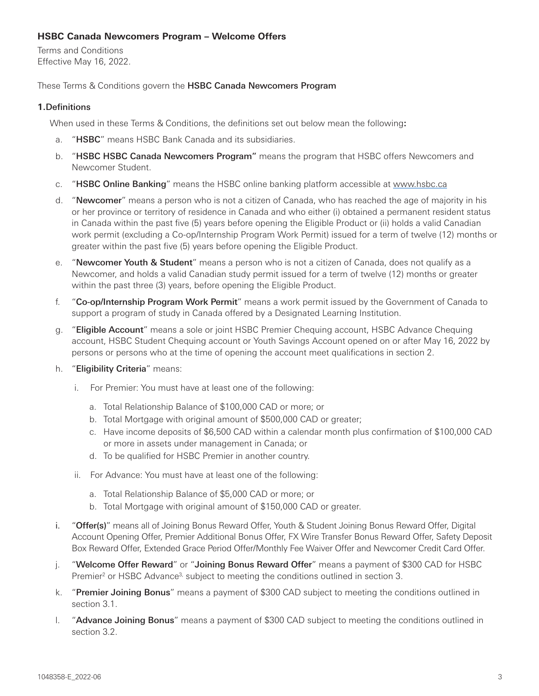# **HSBC Canada Newcomers Program – Welcome Offers**

Terms and Conditions Effective May 16, 2022.

# These Terms & Conditions govern the HSBC Canada Newcomers Program

# **1.**Definitions

When used in these Terms & Conditions, the definitions set out below mean the following**:**

- a. "HSBC" means HSBC Bank Canada and its subsidiaries.
- b. "HSBC HSBC Canada Newcomers Program" means the program that HSBC offers Newcomers and Newcomer Student.
- c. "HSBC Online Banking" means the HSBC online banking platform accessible at [www.hsbc.ca](http://www.hsbc.ca)
- d. "Newcomer" means a person who is not a citizen of Canada, who has reached the age of majority in his or her province or territory of residence in Canada and who either (i) obtained a permanent resident status in Canada within the past five (5) years before opening the Eligible Product or (ii) holds a valid Canadian work permit (excluding a Co-op/Internship Program Work Permit) issued for a term of twelve (12) months or greater within the past five (5) years before opening the Eligible Product.
- e. "Newcomer Youth & Student" means a person who is not a citizen of Canada, does not qualify as a Newcomer, and holds a valid Canadian study permit issued for a term of twelve (12) months or greater within the past three (3) years, before opening the Eligible Product.
- f. "Co-op/Internship Program Work Permit" means a work permit issued by the Government of Canada to support a program of study in Canada offered by a Designated Learning Institution.
- g. "Eligible Account" means a sole or joint HSBC Premier Chequing account, HSBC Advance Chequing account, HSBC Student Chequing account or Youth Savings Account opened on or after May 16, 2022 by persons or persons who at the time of opening the account meet qualifications in section 2.
- h. "Eligibility Criteria" means:
	- i. For Premier: You must have at least one of the following:
		- a. Total Relationship Balance of \$100,000 CAD or more; or
		- b. Total Mortgage with original amount of \$500,000 CAD or greater;
		- c. Have income deposits of \$6,500 CAD within a calendar month plus confirmation of \$100,000 CAD or more in assets under management in Canada; or
		- d. To be qualified for HSBC Premier in another country.
	- ii. For Advance: You must have at least one of the following:
		- a. Total Relationship Balance of \$5,000 CAD or more; or
		- b. Total Mortgage with original amount of \$150,000 CAD or greater.
- i. "Offer(s)" means all of Joining Bonus Reward Offer, Youth & Student Joining Bonus Reward Offer, Digital Account Opening Offer, Premier Additional Bonus Offer, FX Wire Transfer Bonus Reward Offer, Safety Deposit Box Reward Offer, Extended Grace Period Offer/Monthly Fee Waiver Offer and Newcomer Credit Card Offer.
- j. "Welcome Offer Reward" or "Joining Bonus Reward Offer" means a payment of \$300 CAD for HSBC Premier<sup>2</sup> or HSBC Advance<sup>3,</sup> subject to meeting the conditions outlined in section 3.
- k. "Premier Joining Bonus" means a payment of \$300 CAD subject to meeting the conditions outlined in section 3.1.
- l. "Advance Joining Bonus" means a payment of \$300 CAD subject to meeting the conditions outlined in section 3.2.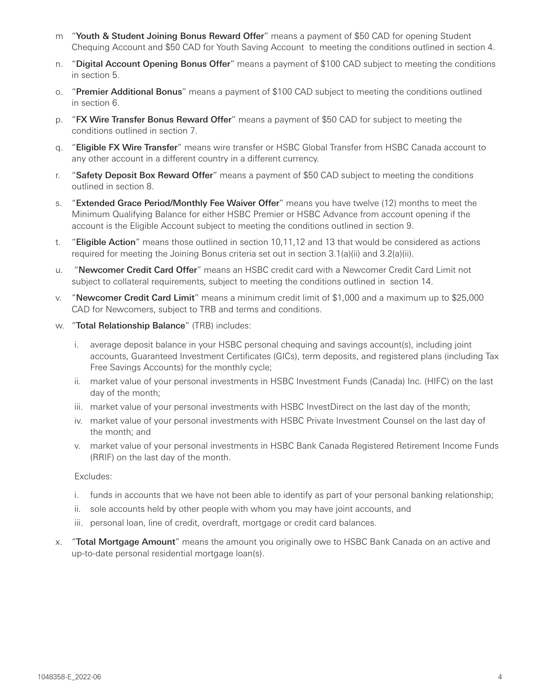- m "Youth & Student Joining Bonus Reward Offer" means a payment of \$50 CAD for opening Student Chequing Account and \$50 CAD for Youth Saving Account to meeting the conditions outlined in section 4.
- n. "Digital Account Opening Bonus Offer" means a payment of \$100 CAD subject to meeting the conditions in section 5.
- o. "Premier Additional Bonus" means a payment of \$100 CAD subject to meeting the conditions outlined in section 6.
- p. "FX Wire Transfer Bonus Reward Offer" means a payment of \$50 CAD for subject to meeting the conditions outlined in section 7.
- q. "Eligible FX Wire Transfer" means wire transfer or HSBC Global Transfer from HSBC Canada account to any other account in a different country in a different currency.
- r. "Safety Deposit Box Reward Offer" means a payment of \$50 CAD subject to meeting the conditions outlined in section 8.
- s. "Extended Grace Period/Monthly Fee Waiver Offer" means you have twelve (12) months to meet the Minimum Qualifying Balance for either HSBC Premier or HSBC Advance from account opening if the account is the Eligible Account subject to meeting the conditions outlined in section 9.
- t. "Eligible Action" means those outlined in section 10,11,12 and 13 that would be considered as actions required for meeting the Joining Bonus criteria set out in section 3.1(a)(ii) and 3.2(a)(ii).
- u. "Newcomer Credit Card Offer" means an HSBC credit card with a Newcomer Credit Card Limit not subject to collateral requirements, subject to meeting the conditions outlined in section 14.
- v. "Newcomer Credit Card Limit" means a minimum credit limit of \$1,000 and a maximum up to \$25,000 CAD for Newcomers, subject to TRB and terms and conditions.
- w. "Total Relationship Balance" (TRB) includes:
	- i. average deposit balance in your HSBC personal chequing and savings account(s), including joint accounts, Guaranteed Investment Certificates (GICs), term deposits, and registered plans (including Tax Free Savings Accounts) for the monthly cycle;
	- ii. market value of your personal investments in HSBC Investment Funds (Canada) Inc. (HIFC) on the last day of the month;
	- iii. market value of your personal investments with HSBC InvestDirect on the last day of the month;
	- iv. market value of your personal investments with HSBC Private Investment Counsel on the last day of the month; and
	- v. market value of your personal investments in HSBC Bank Canada Registered Retirement Income Funds (RRIF) on the last day of the month.

### Excludes:

- i. funds in accounts that we have not been able to identify as part of your personal banking relationship;
- ii. sole accounts held by other people with whom you may have joint accounts, and
- iii. personal loan, line of credit, overdraft, mortgage or credit card balances.
- x. "Total Mortgage Amount" means the amount you originally owe to HSBC Bank Canada on an active and up-to-date personal residential mortgage loan(s).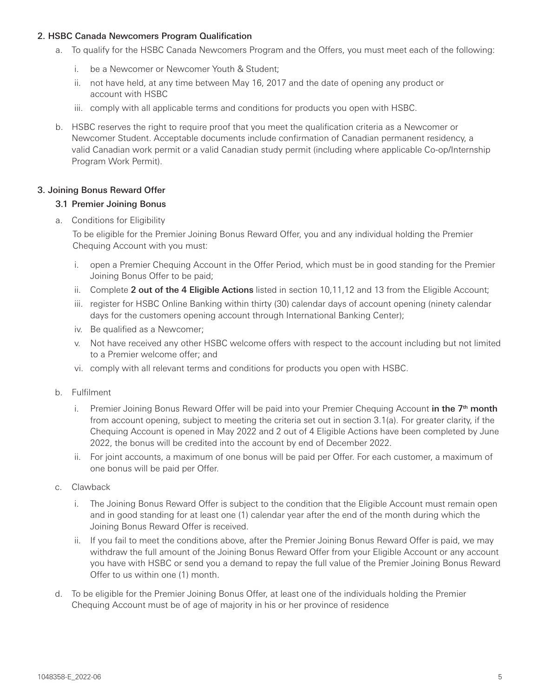## 2. HSBC Canada Newcomers Program Qualification

- a. To qualify for the HSBC Canada Newcomers Program and the Offers, you must meet each of the following:
	- i. be a Newcomer or Newcomer Youth & Student;
	- ii. not have held, at any time between May 16, 2017 and the date of opening any product or account with HSBC
	- iii. comply with all applicable terms and conditions for products you open with HSBC.
- b. HSBC reserves the right to require proof that you meet the qualification criteria as a Newcomer or Newcomer Student. Acceptable documents include confirmation of Canadian permanent residency, a valid Canadian work permit or a valid Canadian study permit (including where applicable Co-op/Internship Program Work Permit).

# 3. Joining Bonus Reward Offer

# 3.1 Premier Joining Bonus

a. Conditions for Eligibility

To be eligible for the Premier Joining Bonus Reward Offer, you and any individual holding the Premier Chequing Account with you must:

- i. open a Premier Chequing Account in the Offer Period, which must be in good standing for the Premier Joining Bonus Offer to be paid;
- ii. Complete 2 out of the 4 Eligible Actions listed in section 10,11,12 and 13 from the Eligible Account;
- iii. register for HSBC Online Banking within thirty (30) calendar days of account opening (ninety calendar days for the customers opening account through International Banking Center);
- iv. Be qualified as a Newcomer;
- v. Not have received any other HSBC welcome offers with respect to the account including but not limited to a Premier welcome offer; and
- vi. comply with all relevant terms and conditions for products you open with HSBC.
- b. Fulfilment
	- i. Premier Joining Bonus Reward Offer will be paid into your Premier Chequing Account in the  $7<sup>th</sup>$  month from account opening, subject to meeting the criteria set out in section 3.1(a). For greater clarity, if the Chequing Account is opened in May 2022 and 2 out of 4 Eligible Actions have been completed by June 2022, the bonus will be credited into the account by end of December 2022.
	- ii. For joint accounts, a maximum of one bonus will be paid per Offer. For each customer, a maximum of one bonus will be paid per Offer.
- c. Clawback
	- i. The Joining Bonus Reward Offer is subject to the condition that the Eligible Account must remain open and in good standing for at least one (1) calendar year after the end of the month during which the Joining Bonus Reward Offer is received.
	- ii. If you fail to meet the conditions above, after the Premier Joining Bonus Reward Offer is paid, we may withdraw the full amount of the Joining Bonus Reward Offer from your Eligible Account or any account you have with HSBC or send you a demand to repay the full value of the Premier Joining Bonus Reward Offer to us within one (1) month.
- d. To be eligible for the Premier Joining Bonus Offer, at least one of the individuals holding the Premier Chequing Account must be of age of majority in his or her province of residence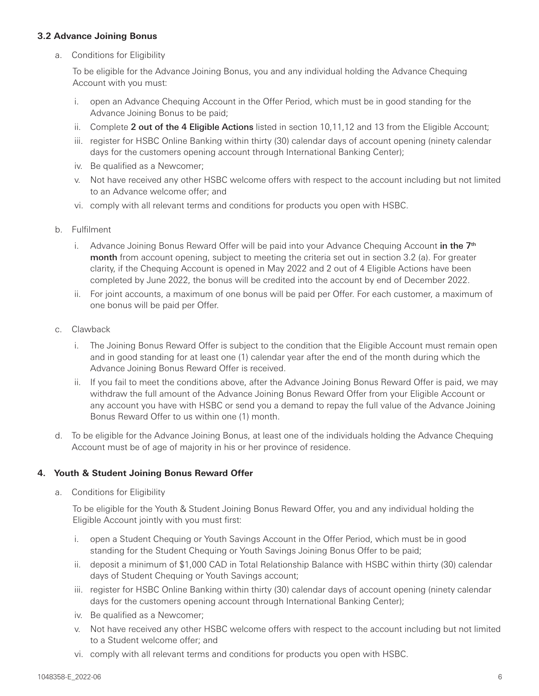## **3.2 Advance Joining Bonus**

a. Conditions for Eligibility

To be eligible for the Advance Joining Bonus, you and any individual holding the Advance Chequing Account with you must:

- i. open an Advance Chequing Account in the Offer Period, which must be in good standing for the Advance Joining Bonus to be paid;
- ii. Complete 2 out of the 4 Eligible Actions listed in section 10,11,12 and 13 from the Eligible Account;
- iii. register for HSBC Online Banking within thirty (30) calendar days of account opening (ninety calendar days for the customers opening account through International Banking Center);
- iv. Be qualified as a Newcomer;
- v. Not have received any other HSBC welcome offers with respect to the account including but not limited to an Advance welcome offer; and
- vi. comply with all relevant terms and conditions for products you open with HSBC.
- b. Fulfilment
	- i. Advance Joining Bonus Reward Offer will be paid into your Advance Chequing Account in the  $7<sup>th</sup>$ month from account opening, subject to meeting the criteria set out in section 3.2 (a). For greater clarity, if the Chequing Account is opened in May 2022 and 2 out of 4 Eligible Actions have been completed by June 2022, the bonus will be credited into the account by end of December 2022.
	- ii. For joint accounts, a maximum of one bonus will be paid per Offer. For each customer, a maximum of one bonus will be paid per Offer.
- c. Clawback
	- i. The Joining Bonus Reward Offer is subject to the condition that the Eligible Account must remain open and in good standing for at least one (1) calendar year after the end of the month during which the Advance Joining Bonus Reward Offer is received.
	- ii. If you fail to meet the conditions above, after the Advance Joining Bonus Reward Offer is paid, we may withdraw the full amount of the Advance Joining Bonus Reward Offer from your Eligible Account or any account you have with HSBC or send you a demand to repay the full value of the Advance Joining Bonus Reward Offer to us within one (1) month.
- d. To be eligible for the Advance Joining Bonus, at least one of the individuals holding the Advance Chequing Account must be of age of majority in his or her province of residence.

### **4. Youth & Student Joining Bonus Reward Offer**

a. Conditions for Eligibility

To be eligible for the Youth & Student Joining Bonus Reward Offer, you and any individual holding the Eligible Account jointly with you must first:

- i. open a Student Chequing or Youth Savings Account in the Offer Period, which must be in good standing for the Student Chequing or Youth Savings Joining Bonus Offer to be paid;
- ii. deposit a minimum of \$1,000 CAD in Total Relationship Balance with HSBC within thirty (30) calendar days of Student Chequing or Youth Savings account;
- iii. register for HSBC Online Banking within thirty (30) calendar days of account opening (ninety calendar days for the customers opening account through International Banking Center);
- iv. Be qualified as a Newcomer;
- v. Not have received any other HSBC welcome offers with respect to the account including but not limited to a Student welcome offer; and
- vi. comply with all relevant terms and conditions for products you open with HSBC.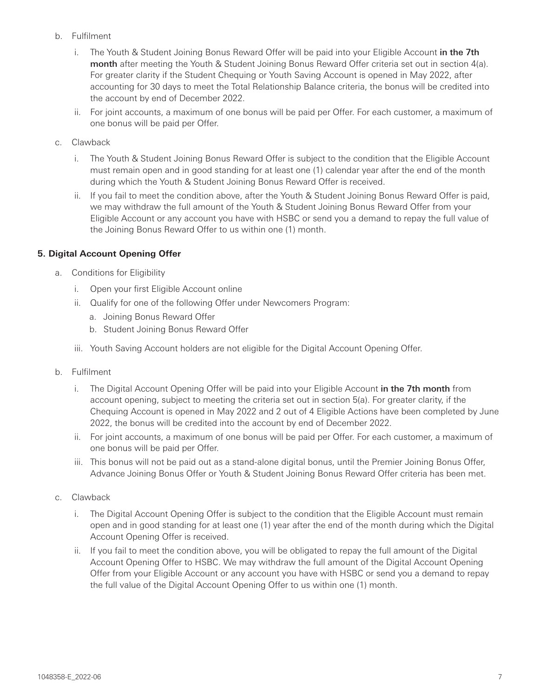- b. Fulfilment
	- i. The Youth & Student Joining Bonus Reward Offer will be paid into your Eligible Account in the 7th month after meeting the Youth & Student Joining Bonus Reward Offer criteria set out in section 4(a). For greater clarity if the Student Chequing or Youth Saving Account is opened in May 2022, after accounting for 30 days to meet the Total Relationship Balance criteria, the bonus will be credited into the account by end of December 2022.
	- ii. For joint accounts, a maximum of one bonus will be paid per Offer. For each customer, a maximum of one bonus will be paid per Offer.
- c. Clawback
	- i. The Youth & Student Joining Bonus Reward Offer is subject to the condition that the Eligible Account must remain open and in good standing for at least one (1) calendar year after the end of the month during which the Youth & Student Joining Bonus Reward Offer is received.
	- ii. If you fail to meet the condition above, after the Youth & Student Joining Bonus Reward Offer is paid, we may withdraw the full amount of the Youth & Student Joining Bonus Reward Offer from your Eligible Account or any account you have with HSBC or send you a demand to repay the full value of the Joining Bonus Reward Offer to us within one (1) month.

# **5. Digital Account Opening Offer**

- a. Conditions for Eligibility
	- i. Open your first Eligible Account online
	- ii. Qualify for one of the following Offer under Newcomers Program:
		- a. Joining Bonus Reward Offer
		- b. Student Joining Bonus Reward Offer
	- iii. Youth Saving Account holders are not eligible for the Digital Account Opening Offer.
- b. Fulfilment
	- i. The Digital Account Opening Offer will be paid into your Eligible Account in the 7th month from account opening, subject to meeting the criteria set out in section 5(a). For greater clarity, if the Chequing Account is opened in May 2022 and 2 out of 4 Eligible Actions have been completed by June 2022, the bonus will be credited into the account by end of December 2022.
	- ii. For joint accounts, a maximum of one bonus will be paid per Offer. For each customer, a maximum of one bonus will be paid per Offer.
	- iii. This bonus will not be paid out as a stand-alone digital bonus, until the Premier Joining Bonus Offer, Advance Joining Bonus Offer or Youth & Student Joining Bonus Reward Offer criteria has been met.
- c. Clawback
	- i. The Digital Account Opening Offer is subject to the condition that the Eligible Account must remain open and in good standing for at least one (1) year after the end of the month during which the Digital Account Opening Offer is received.
	- ii. If you fail to meet the condition above, you will be obligated to repay the full amount of the Digital Account Opening Offer to HSBC. We may withdraw the full amount of the Digital Account Opening Offer from your Eligible Account or any account you have with HSBC or send you a demand to repay the full value of the Digital Account Opening Offer to us within one (1) month.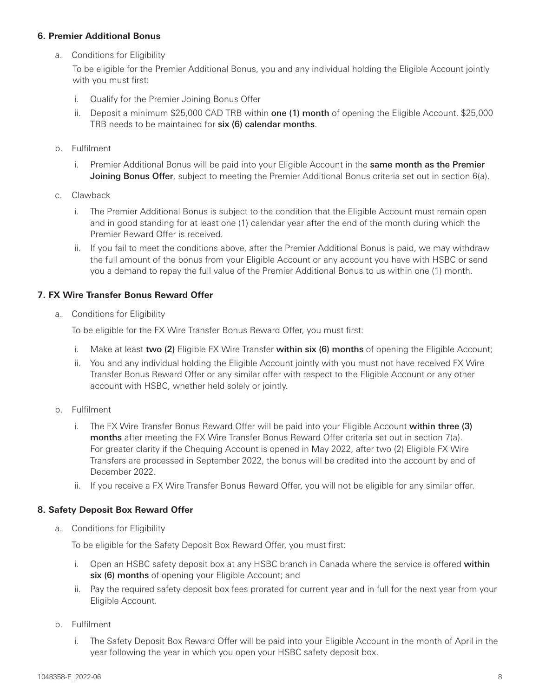#### **6. Premier Additional Bonus**

a. Conditions for Eligibility

To be eligible for the Premier Additional Bonus, you and any individual holding the Eligible Account jointly with you must first:

- i. Qualify for the Premier Joining Bonus Offer
- ii. Deposit a minimum \$25,000 CAD TRB within one (1) month of opening the Eligible Account. \$25,000 TRB needs to be maintained for six (6) calendar months.
- b. Fulfilment
	- i. Premier Additional Bonus will be paid into your Eligible Account in the same month as the Premier Joining Bonus Offer, subject to meeting the Premier Additional Bonus criteria set out in section 6(a).
- c. Clawback
	- i. The Premier Additional Bonus is subject to the condition that the Eligible Account must remain open and in good standing for at least one (1) calendar year after the end of the month during which the Premier Reward Offer is received.
	- ii. If you fail to meet the conditions above, after the Premier Additional Bonus is paid, we may withdraw the full amount of the bonus from your Eligible Account or any account you have with HSBC or send you a demand to repay the full value of the Premier Additional Bonus to us within one (1) month.

### **7. FX Wire Transfer Bonus Reward Offer**

a. Conditions for Eligibility

To be eligible for the FX Wire Transfer Bonus Reward Offer, you must first:

- i. Make at least two  $(2)$  Eligible FX Wire Transfer within  $six(6)$  months of opening the Eligible Account;
- ii. You and any individual holding the Eligible Account jointly with you must not have received FX Wire Transfer Bonus Reward Offer or any similar offer with respect to the Eligible Account or any other account with HSBC, whether held solely or jointly.
- b. Fulfilment
	- i. The FX Wire Transfer Bonus Reward Offer will be paid into your Eligible Account within three (3) months after meeting the FX Wire Transfer Bonus Reward Offer criteria set out in section 7(a). For greater clarity if the Chequing Account is opened in May 2022, after two (2) Eligible FX Wire Transfers are processed in September 2022, the bonus will be credited into the account by end of December 2022.
	- ii. If you receive a FX Wire Transfer Bonus Reward Offer, you will not be eligible for any similar offer.

### **8. Safety Deposit Box Reward Offer**

a. Conditions for Eligibility

To be eligible for the Safety Deposit Box Reward Offer, you must first:

- i. Open an HSBC safety deposit box at any HSBC branch in Canada where the service is offered within six (6) months of opening your Eligible Account; and
- ii. Pay the required safety deposit box fees prorated for current year and in full for the next year from your Eligible Account.
- b. Fulfilment
	- i. The Safety Deposit Box Reward Offer will be paid into your Eligible Account in the month of April in the year following the year in which you open your HSBC safety deposit box.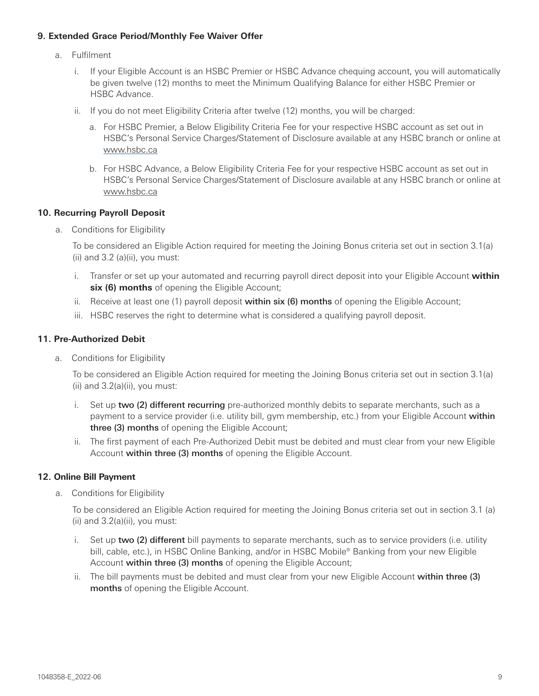## **9. Extended Grace Period/Monthly Fee Waiver Offer**

- a. Fulfilment
	- i. If your Eligible Account is an HSBC Premier or HSBC Advance chequing account, you will automatically be given twelve (12) months to meet the Minimum Qualifying Balance for either HSBC Premier or HSBC Advance.
	- ii. If you do not meet Eligibility Criteria after twelve (12) months, you will be charged:
		- a. For HSBC Premier, a Below Eligibility Criteria Fee for your respective HSBC account as set out in HSBC's Personal Service Charges/Statement of Disclosure available at any HSBC branch or online at [www.hsbc.ca](http://www.hsbc.ca/)
		- b. For HSBC Advance, a Below Eligibility Criteria Fee for your respective HSBC account as set out in HSBC's Personal Service Charges/Statement of Disclosure available at any HSBC branch or online at [www.hsbc.ca](http://www.hsbc.ca/)

# **10. Recurring Payroll Deposit**

a. Conditions for Eligibility

To be considered an Eligible Action required for meeting the Joining Bonus criteria set out in section 3.1(a)  $(ii)$  and 3.2 (a) $(ii)$ , you must:

- i. Transfer or set up your automated and recurring payroll direct deposit into your Eligible Account **within six (6) months** of opening the Eligible Account;
- ii. Receive at least one  $(1)$  payroll deposit within  $\text{six}$  (6) months of opening the Eligible Account;
- iii. HSBC reserves the right to determine what is considered a qualifying payroll deposit.

# **11. Pre-Authorized Debit**

a. Conditions for Eligibility

To be considered an Eligible Action required for meeting the Joining Bonus criteria set out in section 3.1(a) (ii) and 3.2(a)(ii), you must:

- i. Set up two (2) different recurring pre-authorized monthly debits to separate merchants, such as a payment to a service provider (i.e. utility bill, gym membership, etc.) from your Eligible Account within three (3) months of opening the Eligible Account;
- ii. The first payment of each Pre-Authorized Debit must be debited and must clear from your new Eligible Account within three (3) months of opening the Eligible Account.

# **12. Online Bill Payment**

a. Conditions for Eligibility

To be considered an Eligible Action required for meeting the Joining Bonus criteria set out in section 3.1 (a) (ii) and 3.2(a)(ii), you must:

- i. Set up two (2) different bill payments to separate merchants, such as to service providers (i.e. utility bill, cable, etc.), in HSBC Online Banking, and/or in HSBC Mobile® Banking from your new Eligible Account within three (3) months of opening the Eligible Account;
- ii. The bill payments must be debited and must clear from your new Eligible Account within three (3) months of opening the Eligible Account.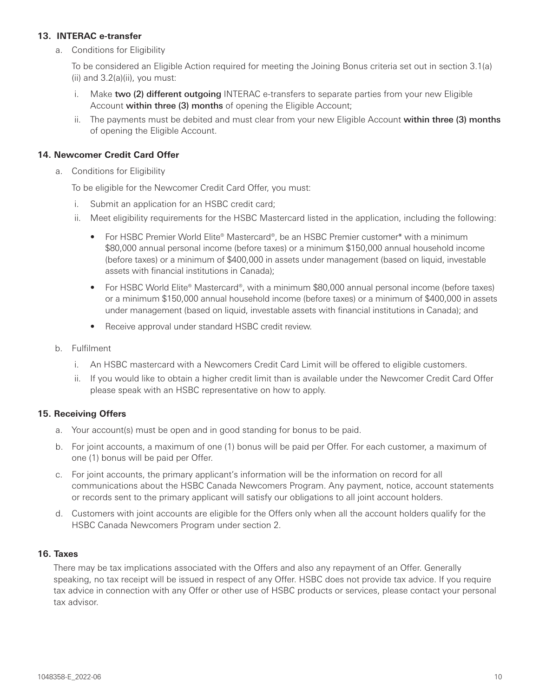## **13. INTERAC e-transfer**

a. Conditions for Eligibility

To be considered an Eligible Action required for meeting the Joining Bonus criteria set out in section 3.1(a)  $(ii)$  and  $3.2(a)(ii)$ , you must:

- i. Make two (2) different outgoing INTERAC e-transfers to separate parties from your new Eligible Account within three (3) months of opening the Eligible Account;
- ii. The payments must be debited and must clear from your new Eligible Account within three (3) months of opening the Eligible Account.

## **14. Newcomer Credit Card Offer**

a. Conditions for Eligibility

To be eligible for the Newcomer Credit Card Offer, you must:

- i. Submit an application for an HSBC credit card;
- ii. Meet eligibility requirements for the HSBC Mastercard listed in the application, including the following:
	- For HSBC Premier World Elite® Mastercard®, be an HSBC Premier customer\* with a minimum \$80,000 annual personal income (before taxes) or a minimum \$150,000 annual household income (before taxes) or a minimum of \$400,000 in assets under management (based on liquid, investable assets with financial institutions in Canada);
	- For HSBC World Elite® Mastercard®, with a minimum \$80,000 annual personal income (before taxes) or a minimum \$150,000 annual household income (before taxes) or a minimum of \$400,000 in assets under management (based on liquid, investable assets with financial institutions in Canada); and
	- Receive approval under standard HSBC credit review.
- b. Fulfilment
	- i. An HSBC mastercard with a Newcomers Credit Card Limit will be offered to eligible customers.
	- ii. If you would like to obtain a higher credit limit than is available under the Newcomer Credit Card Offer please speak with an HSBC representative on how to apply.

### **15. Receiving Offers**

- a. Your account(s) must be open and in good standing for bonus to be paid.
- b. For joint accounts, a maximum of one (1) bonus will be paid per Offer. For each customer, a maximum of one (1) bonus will be paid per Offer.
- c. For joint accounts, the primary applicant's information will be the information on record for all communications about the HSBC Canada Newcomers Program. Any payment, notice, account statements or records sent to the primary applicant will satisfy our obligations to all joint account holders.
- d. Customers with joint accounts are eligible for the Offers only when all the account holders qualify for the HSBC Canada Newcomers Program under section 2.

#### **16. Taxes**

There may be tax implications associated with the Offers and also any repayment of an Offer. Generally speaking, no tax receipt will be issued in respect of any Offer. HSBC does not provide tax advice. If you require tax advice in connection with any Offer or other use of HSBC products or services, please contact your personal tax advisor.